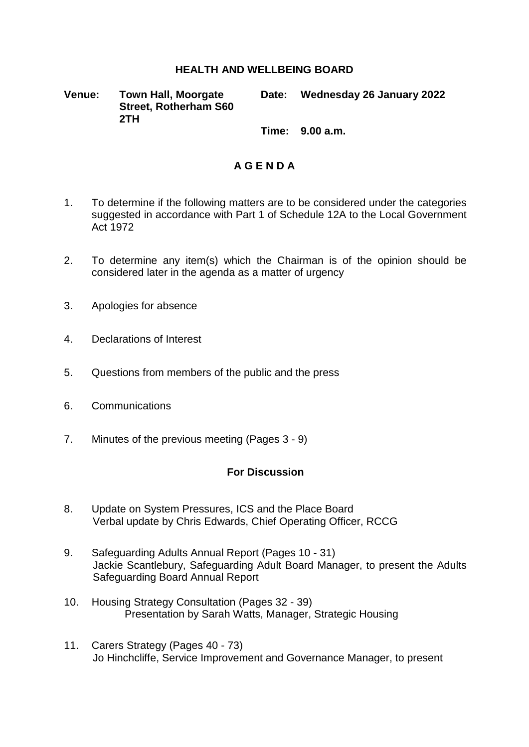## **HEALTH AND WELLBEING BOARD**

**Venue: Town Hall, Moorgate Street, Rotherham S60 2TH**

**Date: Wednesday 26 January 2022**

**Time: 9.00 a.m.**

## **A G E N D A**

- 1. To determine if the following matters are to be considered under the categories suggested in accordance with Part 1 of Schedule 12A to the Local Government Act 1972
- 2. To determine any item(s) which the Chairman is of the opinion should be considered later in the agenda as a matter of urgency
- 3. Apologies for absence
- 4. Declarations of Interest
- 5. Questions from members of the public and the press
- 6. Communications
- 7. Minutes of the previous meeting (Pages 3 9)

## **For Discussion**

- 8. Update on System Pressures, ICS and the Place Board Verbal update by Chris Edwards, Chief Operating Officer, RCCG
- 9. Safeguarding Adults Annual Report (Pages 10 31) Jackie Scantlebury, Safeguarding Adult Board Manager, to present the Adults Safeguarding Board Annual Report
- 10. Housing Strategy Consultation (Pages 32 39) Presentation by Sarah Watts, Manager, Strategic Housing
- 11. Carers Strategy (Pages 40 73) Jo Hinchcliffe, Service Improvement and Governance Manager, to present